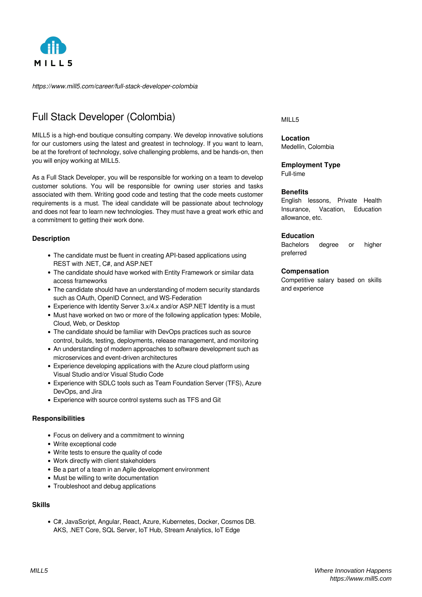

*https://www.mill5.com/career/full-stack-developer-colombia*

# Full Stack Developer (Colombia)

MILL5 is a high-end boutique consulting company. We develop innovative solutions for our customers using the latest and greatest in technology. If you want to learn, be at the forefront of technology, solve challenging problems, and be hands-on, then you will enjoy working at MILL5.

As a Full Stack Developer, you will be responsible for working on a team to develop customer solutions. You will be responsible for owning user stories and tasks associated with them. Writing good code and testing that the code meets customer requirements is a must. The ideal candidate will be passionate about technology and does not fear to learn new technologies. They must have a great work ethic and a commitment to getting their work done.

### **Description**

- The candidate must be fluent in creating API-based applications using REST with .NET, C#, and ASP.NET
- The candidate should have worked with Entity Framework or similar data access frameworks
- The candidate should have an understanding of modern security standards such as OAuth, OpenID Connect, and WS-Federation
- Experience with Identity Server 3.x/4.x and/or ASP.NET Identity is a must
- Must have worked on two or more of the following application types: Mobile, Cloud, Web, or Desktop
- The candidate should be familiar with DevOps practices such as source control, builds, testing, deployments, release management, and monitoring
- An understanding of modern approaches to software development such as microservices and event-driven architectures
- Experience developing applications with the Azure cloud platform using Visual Studio and/or Visual Studio Code
- Experience with SDLC tools such as Team Foundation Server (TFS), Azure DevOps, and Jira
- Experience with source control systems such as TFS and Git

#### **Responsibilities**

- Focus on delivery and a commitment to winning
- Write exceptional code
- Write tests to ensure the quality of code
- Work directly with client stakeholders
- Be a part of a team in an Agile development environment
- Must be willing to write documentation
- Troubleshoot and debug applications

#### **Skills**

C#, JavaScript, Angular, React, Azure, Kubernetes, Docker, Cosmos DB. AKS, .NET Core, SQL Server, IoT Hub, Stream Analytics, IoT Edge

#### MILL5

**Location** Medellín, Colombia

# **Employment Type**

Full-time

#### **Benefits**

English lessons, Private Health Insurance, Vacation, Education allowance, etc.

#### **Education**

Bachelors degree or higher preferred

#### **Compensation**

Competitive salary based on skills and experience